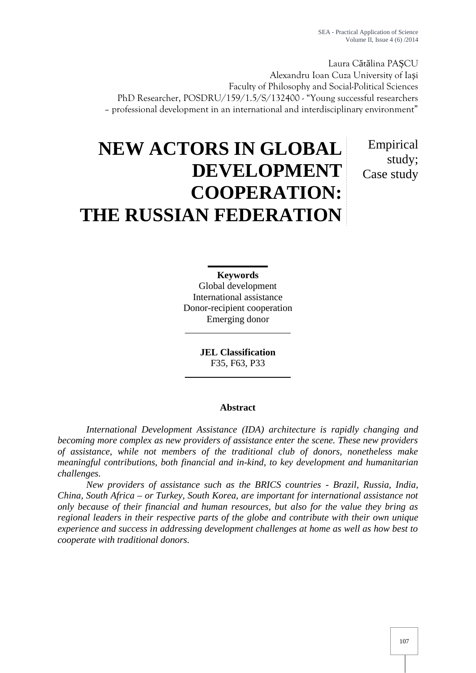Laura C t lina PA CU Alexandru Ioan Cuza University of Ia i Faculty of Philosophy and Social-Political Sciences PhD Researcher, POSDRU/159/1.5/S/132400 - "Young successful researchers – professional development in an international and interdisciplinary environment"

> Empirical study; Case study

# **NEW ACTORS IN GLOBAL DEVELOPMENT COOPERATION: THE RUSSIAN FEDERATION**

**Keywords** Global development International assistance Donor-recipient cooperation Emerging donor

> **JEL Classification** F35, F63, P33

## **Abstract**

*International Development Assistance (IDA) architecture is rapidly changing and becoming more complex as new providers of assistance enter the scene. These new providers of assistance, while not members of the traditional club of donors, nonetheless make meaningful contributions, both financial and in-kind, to key development and humanitarian challenges.*

*New providers of assistance such as the BRICS countries - Brazil, Russia, India, China, South Africa – or Turkey, South Korea, are important for international assistance not only because of their financial and human resources, but also for the value they bring as regional leaders in their respective parts of the globe and contribute with their own unique experience and success in addressing development challenges at home as well as how best to cooperate with traditional donors.*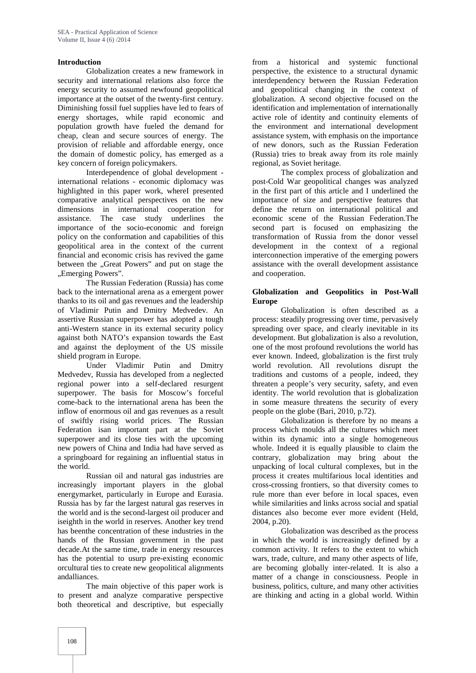## **Introduction**

Globalization creates a new framework in security and international relations also force the energy security to assumed newfound geopolitical importance at the outset of the twenty-first century. Diminishing fossil fuel supplies have led to fears of energy shortages, while rapid economic and population growth have fueled the demand for cheap, clean and secure sources of energy. The provision of reliable and affordable energy, once the domain of domestic policy, has emerged as a key concern of foreign policymakers.

Interdependence of global development international relations - economic diplomacy was highlighted in this paper work, whereI presented comparative analytical perspectives on the new dimensions in international cooperation for assistance. The case study underlines the importance of the socio-economic and foreign policy on the conformation and capabilities of this geopolitical area in the context of the current financial and economic crisis has revived the game between the "Great Powers" and put on stage the "Emerging Powers".

The Russian Federation (Russia) has come back to the international arena as a emergent power thanks to its oil and gas revenues and the leadership of Vladimir Putin and Dmitry Medvedev. An assertive Russian superpower has adopted a tough anti-Western stance in its external security policy against both NATO's expansion towards the East and against the deployment of the US missile shield program in Europe.

Under Vladimir Putin and Dmitry Medvedev, Russia has developed from a neglected regional power into a self-declared resurgent superpower. The basis for Moscow's forceful come-back to the international arena has been the inflow of enormous oil and gas revenues as a result of swiftly rising world prices. The Russian Federation isan important part at the Soviet superpower and its close ties with the upcoming new powers of China and India had have served as a springboard for regaining an influential status in the world.

Russian oil and natural gas industries are increasingly important players in the global energymarket, particularly in Europe and Eurasia. Russia has by far the largest natural gas reserves in the world and is the second-largest oil producer and iseighth in the world in reserves. Another key trend has beenthe concentration of these industries in the hands of the Russian government in the past decade.At the same time, trade in energy resources has the potential to usurp pre-existing economic orcultural ties to create new geopolitical alignments andalliances.

The main objective of this paper work is to present and analyze comparative perspective both theoretical and descriptive, but especially from a historical and systemic functional perspective, the existence to a structural dynamic interdependency between the Russian Federation and geopolitical changing in the context of globalization. A second objective focused on the identification and implementation of internationally active role of identity and continuity elements of the environment and international development assistance system, with emphasis on the importance of new donors, such as the Russian Federation (Russia) tries to break away from its role mainly regional, as Soviet heritage.

The complex process of globalization and post-Cold War geopolitical changes was analyzed in the first part of this article and I underlined the importance of size and perspective features that define the return on international political and economic scene of the Russian Federation.The second part is focused on emphasizing the transformation of Russia from the donor vessel development in the context of a regional interconnection imperative of the emerging powers assistance with the overall development assistance and cooperation.

## **Globalization and Geopolitics in Post-Wall Europe**

Globalization is often described as a process: steadily progressing over time, pervasively spreading over space, and clearly inevitable in its development. But globalization is also a revolution, one of the most profound revolutions the world has ever known. Indeed, globalization is the first truly world revolution. All revolutions disrupt the traditions and customs of a people, indeed, they threaten a people's very security, safety, and even identity. The world revolution that is globalization in some measure threatens the security of every people on the globe (Bari, 2010, p.72).

Globalization is therefore by no means a process which moulds all the cultures which meet within its dynamic into a single homogeneous whole. Indeed it is equally plausible to claim the contrary, globalization may bring about the unpacking of local cultural complexes, but in the process it creates multifarious local identities and cross-crossing frontiers, so that diversity comes to rule more than ever before in local spaces, even while similarities and links across social and spatial distances also become ever more evident (Held, 2004, p.20).

Globalization was described as the process in which the world is increasingly defined by a common activity. It refers to the extent to which wars, trade, culture, and many other aspects of life, are becoming globally inter-related. It is also a matter of a change in consciousness. People in business, politics, culture, and many other activities are thinking and acting in a global world. Within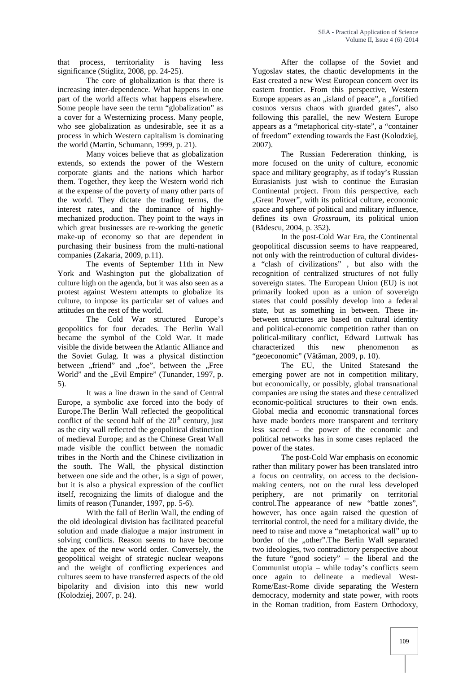that process, territoriality is having less significance (Stiglitz, 2008, pp. 24-25).

The core of globalization is that there is increasing inter-dependence. What happens in one part of the world affects what happens elsewhere. Some people have seen the term "globalization" as a cover for a Westernizing process. Many people, who see globalization as undesirable, see it as a process in which Western capitalism is dominating the world (Martin, Schumann, 1999, p. 21).

Many voices believe that as globalization extends, so extends the power of the Western corporate giants and the nations which harbor them. Together, they keep the Western world rich at the expense of the poverty of many other parts of the world. They dictate the trading terms, the interest rates, and the dominance of highly mechanized production. They point to the ways in which great businesses are re-working the genetic make-up of economy so that are dependent in purchasing their business from the multi-national companies (Zakaria, 2009, p.11).

The events of September 11th in New York and Washington put the globalization of culture high on the agenda, but it was also seen as a protest against Western attempts to globalize its culture, to impose its particular set of values and attitudes on the rest of the world.

The Cold War structured Europe's geopolitics for four decades. The Berlin Wall became the symbol of the Cold War. It made visible the divide between the Atlantic Alliance and the Soviet Gulag. It was a physical distinction between "friend" and "foe", between the "Free World" and the "Evil Empire" (Tunander, 1997, p. 5).

It was a line drawn in the sand of Central Europe, a symbolic axe forced into the body of Europe.The Berlin Wall reflected the geopolitical conflict of the second half of the  $20<sup>th</sup>$  century, just as the city wall reflected the geopolitical distinction of medieval Europe; and as the Chinese Great Wall made visible the conflict between the nomadic tribes in the North and the Chinese civilization in the south. The Wall, the physical distinction between one side and the other, is a sign of power, but it is also a physical expression of the conflict itself, recognizing the limits of dialogue and the limits of reason (Tunander, 1997, pp. 5-6).

With the fall of Berlin Wall, the ending of the old ideological division has facilitated peaceful solution and made dialogue a major instrument in solving conflicts. Reason seems to have become the apex of the new world order. Conversely, the geopolitical weight of strategic nuclear weapons and the weight of conflicting experiences and cultures seem to have transferred aspects of the old bipolarity and division into this new world (Kolodziej, 2007, p. 24).

After the collapse of the Soviet and Yugoslav states, the chaotic developments in the East created a new West European concern over its eastern frontier. From this perspective, Western Europe appears as an "island of peace", a "fortified cosmos versus chaos with guarded gates", also following this parallel, the new Western Europe appears as a "metaphorical city-state", a "container of freedom" extending towards the East (Kolodziej, 2007).

The Russian Federeration thinking, is more focused on the unity of culture, economic space and military geography, as if today's Russian Eurasianists just wish to continue the Eurasian Continental project. From this perspective, each "Great Power", with its political culture, economic. space and sphere of political and military influence, defines its own *Grossraum*, its political union (Bădescu, 2004, p. 352).

In the post-Cold War Era, the Continental geopolitical discussion seems to have reappeared, not only with the reintroduction of cultural divides a "clash of civilizations" , but also with the recognition of centralized structures of not fully sovereign states. The European Union (EU) is not primarily looked upon as a union of sovereign states that could possibly develop into a federal state, but as something in between. These in between structures are based on cultural identity and political-economic competition rather than on political-military conflict, Edward Luttwak has this new phenomenon as "geoeconomic" (V $t$  man, 2009, p. 10).

The EU, the United Statesand the emerging power are not in competition military, but economically, or possibly, global transnational companies are using the states and these centralized economic-political structures to their own ends. Global media and economic transnational forces have made borders more transparent and territory less sacred – the power of the economic and political networks has in some cases replaced the power of the states.

The post-Cold War emphasis on economic rather than military power has been translated intro a focus on centrality, on access to the decision making centers, not on the rural less developed periphery, are not primarily on territorial control.The appearance of new "battle zones", however, has once again raised the question of territorial control, the need for a military divide, the need to raise and move a "metaphorical wall" up to border of the "other".The Berlin Wall separated two ideologies, two contradictory perspective about the future "good society" – the liberal and the Communist utopia – while today's conflicts seem once again to delineate a medieval West- Rome/East-Rome divide separating the Western democracy, modernity and state power, with roots in the Roman tradition, from Eastern Orthodoxy,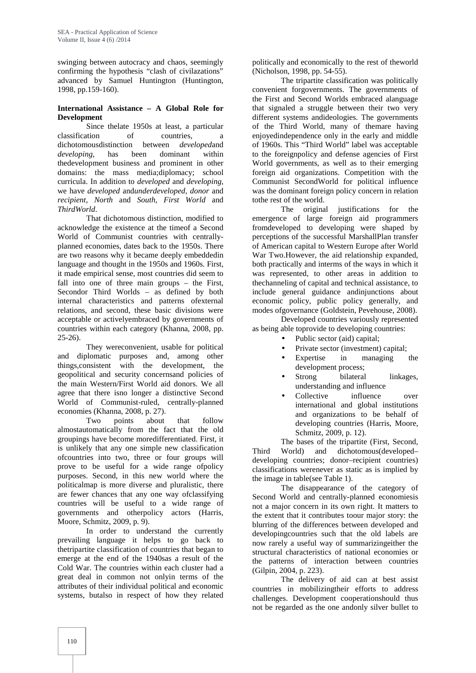swinging between autocracy and chaos, seemingly confirming the hypothesis "clash of civilazations" advanced by Samuel Huntington (Huntington, 1998, pp.159-160).

## **International Assistance – A Global Role for Development**

Since thelate 1950s at least, a particular classification of countries, a dichotomousdistinction between *developed*and *developing*, has been dominant within thedevelopment business and prominent in other domains: the mass media;diplomacy; school curricula. In addition to *developed* and *developing*, we have *developed* and*underdeveloped, donor* and *recipient, North* and *South, First World* and *ThirdWorld*.

That dichotomous distinction, modified to acknowledge the existence at the timeof a Second World of Communist countries with centrally planned economies, dates back to the 1950s. There are two reasons why it became deeply embeddedin language and thought in the 1950s and 1960s. First, it made empirical sense, most countries did seem to fall into one of three main groups – the First, Secondor Third Worlds – as defined by both internal characteristics and patterns ofexternal relations, and second, these basic divisions were acceptable or activelyembraced by governments of countries within each category (Khanna, 2008, pp. 25-26).

They wereconvenient, usable for political and diplomatic purposes and, among other things,consistent with the development, the geopolitical and security concernsand policies of the main Western/First World aid donors. We all agree that there isno longer a distinctive Second World of Communist-ruled, centrally-planned economies (Khanna, 2008, p. 27).

Two points about that follow almostautomatically from the fact that the old groupings have become moredifferentiated. First, it is unlikely that any one simple new classification Third ofcountries into two, three or four groups will prove to be useful for a wide range ofpolicy purposes. Second, in this new world where the politicalmap is more diverse and pluralistic, there are fewer chances that any one way ofclassifying countries will be useful to a wide range of governments and otherpolicy actors (Harris, Moore, Schmitz, 2009, p. 9).

In order to understand the currently prevailing language it helps to go back to thetripartite classification of countries that began to emerge at the end of the 1940sas a result of the Cold War. The countries within each cluster had a great deal in common not onlyin terms of the attributes of their individual political and economic systems, butalso in respect of how they related

politically and economically to the rest of theworld (Nicholson, 1998, pp. 54-55).

The tripartite classification was politically convenient forgovernments. The governments of the First and Second Worlds embraced alanguage that signaled a struggle between their two very different systems andideologies. The governments of the Third World, many of themare having enjoyedindependence only in the early and middle of 1960s. This "Third World" label was acceptable to the foreignpolicy and defense agencies of First World governments, as well as to their emerging foreign aid organizations. Competition with the Communist SecondWorld for political influence was the dominant foreign policy concern in relation tothe rest of the world.

The original justifications for the emergence of large foreign aid programmers fromdeveloped to developing were shaped by perceptions of the successful MarshallPlan transfer of American capital to Western Europe after World War Two.However, the aid relationship expanded, both practically and interms of the ways in which it was represented, to other areas in addition to thechanneling of capital and technical assistance, to include general guidance andinjunctions about economic policy, public policy generally, and modes ofgovernance (Goldstein, Pevehouse, 2008).

Developed countries variously represented as being able toprovide to developing countries:

- Public sector (aid) capital;
- Private sector (investment) capital;
- Expertise in managing the development process;
- Strong bilateral linkages, understanding and influence
- Collective influence over international and global institutions and organizations to be behalf of developing countries (Harris, Moore, Schmitz, 2009, p. 12).

The bases of the tripartite (First, Second, World) and dichotomous(developed– developing countries; donor–recipient countries) classifications werenever as static as is implied by the image in table(see Table 1).

The disappearance of the category of Second World and centrally-planned economiesis not a major concern in its own right. It matters to the extent that it contributes toour major story: the blurring of the differences between developed and developingcountries such that the old labels are now rarely a useful way of summarizingeither the structural characteristics of national economies or the patterns of interaction between countries (Gilpin, 2004, p. 223).

The delivery of aid can at best assist countries in mobilizingtheir efforts to address challenges. Development cooperationshould thus not be regarded as the one andonly silver bullet to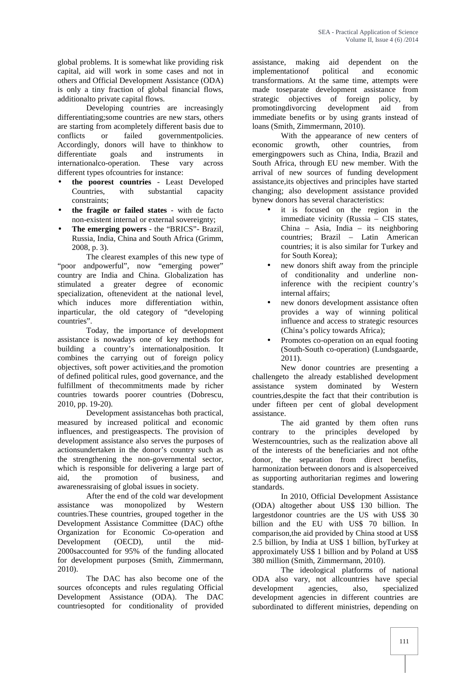global problems. It is somewhat like providing risk capital, aid will work in some cases and not in others and Official Development Assistance (ODA) is only a tiny fraction of global financial flows, additionalto private capital flows.

Developing countries are increasingly differentiating;some countries are new stars, others are starting from acompletely different basis due to conflicts or failed governmentpolicies. Accordingly, donors will have to thinkhow to economic differentiate goals and instruments in emerging differentiate goals and instruments in internationalco-operation. These vary across different types ofcountries for instance:

- **the poorest countries** Least Developed Countries, with substantial capacity constraints;
- **the fragile or failed states** with de facto non-existent internal or external sovereignty;
- **The emerging powers** the "BRICS"- Brazil, Russia, India, China and South Africa (Grimm, 2008, p. 3).

The clearest examples of this new type of "poor andpowerful", now "emerging power" country are India and China. Globalization has stimulated a greater degree of economic specialization, oftenevident at the national level, which induces more differentiation within, inparticular, the old category of "developing countries".

Today, the importance of development assistance is nowadays one of key methods for building a country's internationalposition. It combines the carrying out of foreign policy objectives, soft power activities,and the promotion of defined political rules, good governance, and the fulfillment of thecommitments made by richer countries towards poorer countries (Dobrescu, 2010, pp. 19-20).

Development assistancehas both practical, measured by increased political and economic influences, and prestigeaspects. The provision of development assistance also serves the purposes of actionsundertaken in the donor's country such as the strengthening the non-governmental sector, which is responsible for delivering a large part of aid, the promotion of business, and awarenessraising of global issues in society.

After the end of the cold war development assistance was monopolized by Western countries.These countries, grouped together in the Development Assistance Committee (DAC) ofthe Organization for Economic Co-operation and Development (OECD), until the mid- 2000saccounted for 95% of the funding allocated for development purposes (Smith, Zimmermann, 2010).

The DAC has also become one of the sources ofconcepts and rules regulating Official Development Assistance (ODA). The DAC countriesopted for conditionality of provided assistance, making aid dependent on the implementationof political and economic transformations. At the same time, attempts were made toseparate development assistance from strategic objectives of foreign policy, by promotingdivorcing development aid from immediate benefits or by using grants instead of loans (Smith, Zimmermann, 2010).

With the appearance of new centers of growth, other countries, from emergingpowers such as China, India, Brazil and South Africa, through EU new member. With the arrival of new sources of funding development assistance,its objectives and principles have started changing; also development assistance provided bynew donors has several characteristics:

- it is focused on the region in the immediate vicinity (Russia – CIS states, China – Asia, India – its neighboring countries; Brazil – Latin American countries; it is also similar for Turkey and for South Korea);
- new donors shift away from the principle of conditionality and underline noninference with the recipient country's internal affairs;
- new donors development assistance often provides a way of winning political influence and access to strategic resources (China's policy towards Africa);
- Promotes co-operation on an equal footing (South-South co-operation) (Lundsgaarde, 2011).

New donor countries are presenting a challengeto the already established development<br>assistance system dominated by Western assistance system dominated by Western countries,despite the fact that their contribution is under fifteen per cent of global development assistance.

The aid granted by them often runs contrary to the principles developed by Westerncountries, such as the realization above all of the interests of the beneficiaries and not ofthe donor, the separation from direct benefits, harmonization between donors and is alsoperceived as supporting authoritarian regimes and lowering standards.

In 2010, Official Development Assistance (ODA) altogether about US\$ 130 billion. The largestdonor countries are the US with US\$ 30 billion and the EU with US\$ 70 billion. In comparison,the aid provided by China stood at US\$ 2.5 billion, by India at US\$ 1 billion, byTurkey at approximately US\$ 1 billion and by Poland at US\$ 380 million (Smith, Zimmermann, 2010).

The ideological platforms of national ODA also vary, not allcountries have special development agencies, also, specialized development agencies in different countries are subordinated to different ministries, depending on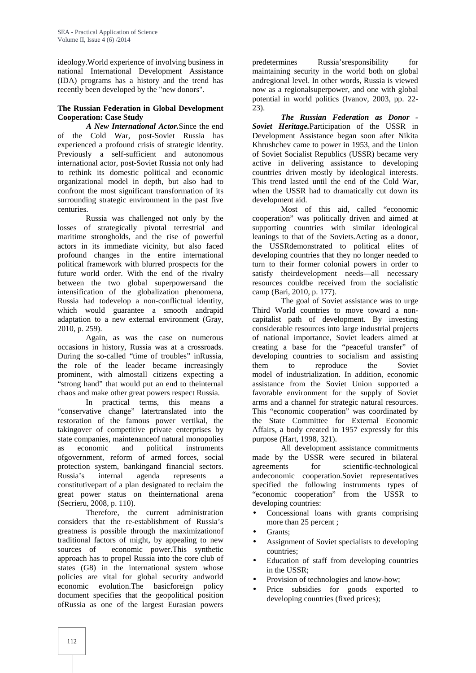ideology.World experience of involving business in national International Development Assistance (IDA) programs has a history and the trend has recently been developed by the "new donors".

## **The Russian Federation in Global Development Cooperation: Case Study**

*A New International Actor.*Since the end of the Cold War, post-Soviet Russia has experienced a profound crisis of strategic identity. Previously a self-sufficient and autonomous international actor, post-Soviet Russia not only had to rethink its domestic political and economic organizational model in depth, but also had to confront the most significant transformation of its surrounding strategic environment in the past five centuries.

Russia was challenged not only by the losses of strategically pivotal terrestrial and maritime strongholds, and the rise of powerful actors in its immediate vicinity, but also faced profound changes in the entire international political framework with blurred prospects for the future world order. With the end of the rivalry between the two global superpowersand the intensification of the globalization phenomena, Russia had todevelop a non-conflictual identity, which would guarantee a smooth andrapid adaptation to a new external environment (Gray, 2010, p. 259).

Again, as was the case on numerous occasions in history, Russia was at a crossroads. During the so-called "time of troubles" inRussia, the role of the leader became increasingly prominent, with almostall citizens expecting a "strong hand" that would put an end to theinternal chaos and make other great powers respect Russia.

In practical terms, this means a "conservative change" latertranslated into the restoration of the famous power vertikal, the takingover of competitive private enterprises by state companies, maintenanceof natural monopolies as economic and political instruments ofgovernment, reform of armed forces, social protection system, bankingand financial sectors. Russia's internal agenda represents a constitutivepart of a plan designated to reclaim the great power status on theinternational arena (Secrieru, 2008, p. 110).

Therefore, the current administration considers that the re-establishment of Russia's greatness is possible through the maximizationof traditional factors of might, by appealing to new sources of economic power.This synthetic approach has to propel Russia into the core club of states (G8) in the international system whose policies are vital for global security andworld economic evolution.The basicforeign policy document specifies that the geopolitical position ofRussia as one of the largest Eurasian powers

Russia'sresponsibility for maintaining security in the world both on global andregional level. In other words, Russia is viewed now as a regionalsuperpower, and one with global potential in world politics (Ivanov, 2003, pp. 22- 23).

*The Russian Federation as Donor - Soviet Heritage.*Participation of the USSR in Development Assistance began soon after Nikita Khrushchev came to power in 1953, and the Union of Soviet Socialist Republics (USSR) became very active in delivering assistance to developing countries driven mostly by ideological interests. This trend lasted until the end of the Cold War, when the USSR had to dramatically cut down its development aid.

Most of this aid, called "economic cooperation" was politically driven and aimed at supporting countries with similar ideological leanings to that of the Soviets.Acting as a donor, the USSRdemonstrated to political elites of developing countries that they no longer needed to turn to their former colonial powers in order to satisfy theirdevelopment needs—all necessary resources couldbe received from the socialistic camp (Bari, 2010, p. 177).

The goal of Soviet assistance was to urge Third World countries to move toward a non capitalist path of development. By investing considerable resources into large industrial projects of national importance, Soviet leaders aimed at creating a base for the "peaceful transfer" of developing countries to socialism and assisting to reproduce the Soviet model of industrialization. In addition, economic assistance from the Soviet Union supported a favorable environment for the supply of Soviet arms and a channel for strategic natural resources. This "economic cooperation" was coordinated by the State Committee for External Economic Affairs, a body created in 1957 expressly for this purpose (Hart, 1998, 321).

All development assistance commitments made by the USSR were secured in bilateral agreements for scientific-technological andeconomic cooperation.Soviet representatives specified the following instruments types of "economic cooperation" from the USSR to developing countries:

- Concessional loans with grants comprising more than 25 percent ;
- Grants;
- Assignment of Soviet specialists to developing countries;
- Education of staff from developing countries in the USSR;
- Provision of technologies and know-how;
- Price subsidies for goods exported to developing countries (fixed prices);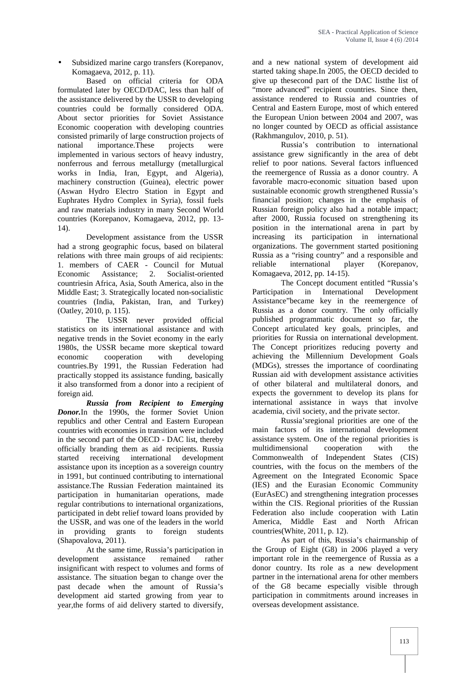Subsidized marine cargo transfers (Korepanov, Komagaeva, 2012, p. 11).

Based on official criteria for ODA formulated later by OECD/DAC, less than half of the assistance delivered by the USSR to developing countries could be formally considered ODA. About sector priorities for Soviet Assistance Economic cooperation with developing countries consisted primarily of large construction projects of national importance.These projects were implemented in various sectors of heavy industry, nonferrous and ferrous metallurgy (metallurgical works in India, Iran, Egypt, and Algeria), machinery construction (Guinea), electric power (Aswan Hydro Electro Station in Egypt and Euphrates Hydro Complex in Syria), fossil fuels and raw materials industry in many Second World countries (Korepanov, Komagaeva, 2012, pp. 13- 14).

Development assistance from the USSR had a strong geographic focus, based on bilateral relations with three main groups of aid recipients: 1. members of CAER - Council for Mutual Economic Assistance; 2. Socialist-oriented countriesin Africa, Asia, South America, also in the Middle East; 3. Strategically located non-socialistic countries (India, Pakistan, Iran, and Turkey) (Oatley, 2010, p. 115).

The USSR never provided official statistics on its international assistance and with negative trends in the Soviet economy in the early 1980s, the USSR became more skeptical toward economic cooperation with developing countries.By 1991, the Russian Federation had practically stopped its assistance funding, basically it also transformed from a donor into a recipient of foreign aid.

*Russia from Recipient to Emerging Donor.*In the 1990s, the former Soviet Union republics and other Central and Eastern European countries with economies in transition were included in the second part of the OECD - DAC list, thereby officially branding them as aid recipients. Russia started receiving international development assistance upon its inception as a sovereign country in 1991, but continued contributing to international assistance.The Russian Federation maintained its participation in humanitarian operations, made regular contributions to international organizations, participated in debt relief toward loans provided by the USSR, and was one of the leaders in the world in providing grants to foreign students (Shapovalova, 2011).

At the same time, Russia's participation in development assistance remained rather insignificant with respect to volumes and forms of assistance. The situation began to change over the past decade when the amount of Russia's development aid started growing from year to year,the forms of aid delivery started to diversify,

and a new national system of development aid started taking shape.In 2005, the OECD decided to give up thesecond part of the DAC listthe list of "more advanced" recipient countries. Since then, assistance rendered to Russia and countries of Central and Eastern Europe, most of which entered the European Union between 2004 and 2007, was no longer counted by OECD as official assistance (Rakhmangulov, 2010, p. 51).

Russia's contribution to international assistance grew significantly in the area of debt relief to poor nations. Several factors influenced the reemergence of Russia as a donor country. A favorable macro-economic situation based upon sustainable economic growth strengthened Russia's financial position; changes in the emphasis of Russian foreign policy also had a notable impact; after 2000, Russia focused on strengthening its position in the international arena in part by increasing its participation in international organizations. The government started positioning Russia as a "rising country" and a responsible and reliable international player (Korepanov, Komagaeva, 2012, pp. 14-15).

The Concept document entitled "Russia's Participation in International Development Assistance"became key in the reemergence of Russia as a donor country. The only officially published programmatic document so far, the Concept articulated key goals, principles, and priorities for Russia on international development. The Concept prioritizes reducing poverty and achieving the Millennium Development Goals (MDGs), stresses the importance of coordinating Russian aid with development assistance activities of other bilateral and multilateral donors, and expects the government to develop its plans for international assistance in ways that involve academia, civil society, and the private sector.

Russia'sregional priorities are one of the main factors of its international development assistance system. One of the regional priorities is multidimensional cooperation with the Commonwealth of Independent States (CIS) countries, with the focus on the members of the Agreement on the Integrated Economic Space (IES) and the Eurasian Economic Community (EurAsEC) and strengthening integration processes within the CIS. Regional priorities of the Russian Federation also include cooperation with Latin America, Middle East and North African countries(White, 2011, p. 12).

As part of this, Russia's chairmanship of the Group of Eight (G8) in 2006 played a very important role in the reemergence of Russia as a donor country. Its role as a new development partner in the international arena for other members of the G8 became especially visible through participation in commitments around increases in overseas development assistance.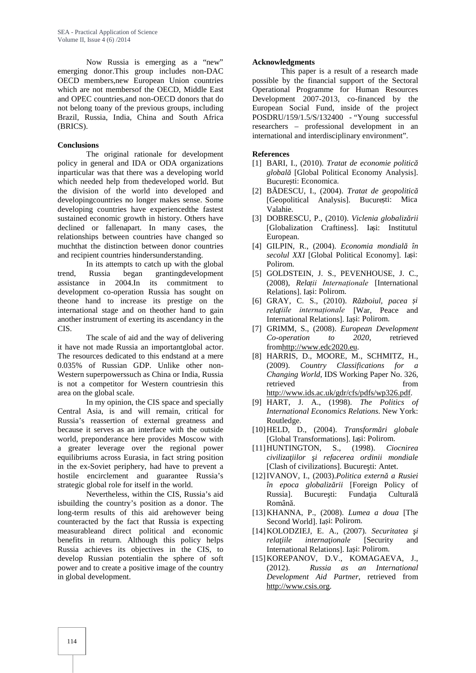Now Russia is emerging as a "new" emerging donor.This group includes non-DAC OECD members,new European Union countries which are not membersof the OECD, Middle East and OPEC countries,and non-OECD donors that do not belong toany of the previous groups, including Brazil, Russia, India, China and South Africa (BRICS).

## **Conclusions**

The original rationale for development policy in general and IDA or ODA organizations inparticular was that there was a developing world which needed help from thedeveloped world. But the division of the world into developed and developingcountries no longer makes sense. Some developing countries have experiencedthe fastest sustained economic growth in history. Others have declined or fallenapart. In many cases, the relationships between countries have changed so muchthat the distinction between donor countries and recipient countries hindersunderstanding.

In its attempts to catch up with the global trend, Russia began grantingdevelopment assistance in 2004.In its commitment to development co-operation Russia has sought on theone hand to increase its prestige on the international stage and on theother hand to gain another instrument of exerting its ascendancy in the CIS.

The scale of aid and the way of delivering it have not made Russia an importantglobal actor. The resources dedicated to this endstand at a mere 0.035% of Russian GDP. Unlike other non- Western superpowerssuch as China or India, Russia is not a competitor for Western countriesin this area on the global scale.

In my opinion, the CIS space and specially Central Asia, is and will remain, critical for Russia's reassertion of external greatness and because it serves as an interface with the outside world, preponderance here provides Moscow with a greater leverage over the regional power equilibriums across Eurasia, in fact string position in the ex-Soviet periphery, had have to prevent a hostile encirclement and guarantee Russia's strategic global role for itself in the world.

Nevertheless, within the CIS, Russia's aid isbuilding the country's position as a donor. The long-term results of this aid arehowever being counteracted by the fact that Russia is expecting measurableand direct political and economic benefits in return. Although this policy helps Russia achieves its objectives in the CIS, to develop Russian potentialin the sphere of soft power and to create a positive image of the country in global development.

## **Acknowledgments**

This paper is a result of a research made possible by the financial support of the Sectoral Operational Programme for Human Resources Development 2007-2013, co-financed by the European Social Fund, inside of the project POSDRU/159/1.5/S/132400 - "Young successful researchers – professional development in an international and interdisciplinary environment".

#### **References**

- [1] BARI, I., (2010). *Tratat de economie politic globală* [Global Political Economy Analysis]. Bucure ti: Economica.
- [2] B DESCU, I., (2004). *Tratat de geopolitic* [Geopolitical Analysis]. Bucure ti: Mica Valahie.
- [3] DOBRESCU, P., (2010). Viclenia globaliz rii [Globalization Craftiness]. Ia i: Institutul European.
- [4] GILPIN, R., (2004). *Economia mondial* în *secolul XXI* [Global Political Economy]. Ia i: Polirom.
- [5] GOLDSTEIN, J. S., PEVENHOUSE, J. C., (2008), *Relații Internaționale* [International Relations]. Ia i: Polirom.
- [6] GRAY, C. S., (2010). *R zboiul, pacea i relațiile internaționale* [War, Peace and International Relations]. Ia i: Polirom.
- [7] GRIMM, S., (2008). *European Development Co-operation to 2020*, retrieved fromhttp://www.edc2020.eu.
- [8] HARRIS, D., MOORE, M., SCHMITZ, H., (2009). *Country Classifications for a Changing World*, IDS Working Paper No. 326, retrieved from http://www.ids.ac.uk/gdr/cfs/pdfs/wp326.pdf.
- [9] HART, J. A., (1998). *The Politics of International Economics Relations*. New York: Routledge.
- [10] HELD, D., (2004). *Transform ri globale* [Global Transformations]. Ia i: Polirom.
- [11]HUNTINGTON, S., (1998). *Ciocnirea civilizaţiilor şi refacerea ordinii mondiale* [Clash of civilizations]. Bucure ti: Antet.
- [12]IVANOV, I., (2003).Politica extern a Rusiei *în epoca globaliz rii* [Foreign Policy of Russia]. Bucure ti: Funda ia Cultural Română.
- [13]KHANNA, P., (2008). *Lumea a doua* [The Second World]. Ia i: Polirom.
- [14]KOLODZIEJ, E. A., (2007). *Securitatea şi rela iile interna ionale* [Security and International Relations]. Ia i: Polirom.
- [15]KOREPANOV, D.V., KOMAGAEVA, J., (2012). *Russia as an International Development Aid Partner*, retrieved from http://www.csis.org.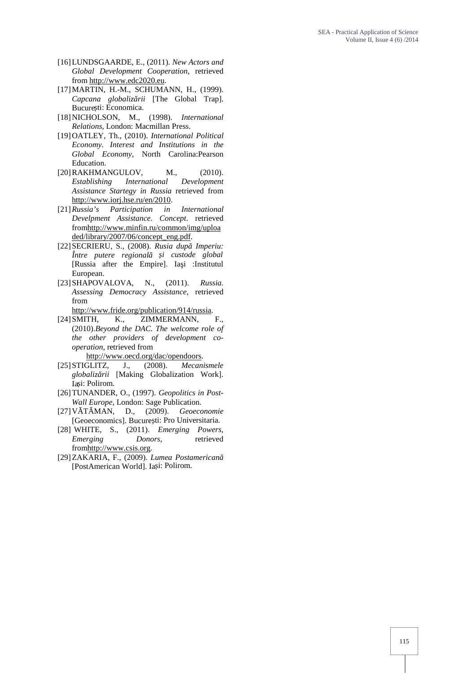- [16]LUNDSGAARDE, E., (2011). *New Actors and Global Development Cooperation*, retrieved from http://www.edc2020.eu.
- [17]MARTIN, H.-M., SCHUMANN, H., (1999). *Capcana globaliz rii* [The Global Trap]. Bucure ti: Economica.
- [18]NICHOLSON, M., (1998). *International Relations*, London: Macmillan Press.
- [19]OATLEY, Th., (2010). *International Political Economy. Interest and Institutions in the Global Economy*, North Carolina:Pearson Education.
- [20] RAKHMANGULOV, M., (2010). *Establishing International Development Assistance Startegy in Russia* retrieved from http://www.iorj.hse.ru/en/2010.
- [21]*Russia's Participation in International Develpment Assistance. Concept*. retrieved fromhttp://www.minfin.ru/common/img/uploa ded/library/2007/06/concept\_eng.pdf.
- [22] SECRIERU, S., (2008). Rusia dup Imperiu: *Între putere regională și custode global* [Russia after the Empire]. Ia i :Institutul European.
- [23]SHAPOVALOVA, N., (2011). *Russia. Assessing Democracy Assistance*, retrieved from
- http://www.fride.org/publication/914/russia.<br>[24] SMITH, K., ZIMMERMANN,
- ZIMMERMANN, F., (2010).*Beyond the DAC. The welcome role of the other providers of development co operation*, retrieved from
	- http://www.oecd.org/dac/opendoors.
- [25]STIGLITZ, J., (2008). *Mecanismele globalizării* [Making Globalization Work]. Ia i: Polirom.
- [26]TUNANDER, O., (1997). *Geopolitics in Post- Wall Europe*, London: Sage Publication.
- [27] V T MAN, D., (2009). *Geoeconomie* [Geoeconomics]. Bucure ti: Pro Universitaria.
- [28] WHITE, S., (2011). *Emerging Powers, Emerging Donors*, retrieved fromhttp://www.csis.org.
- [29]ZAKARIA, F., (2009). *Lumea Postamericană* [PostAmerican World]. Ia i: Polirom.